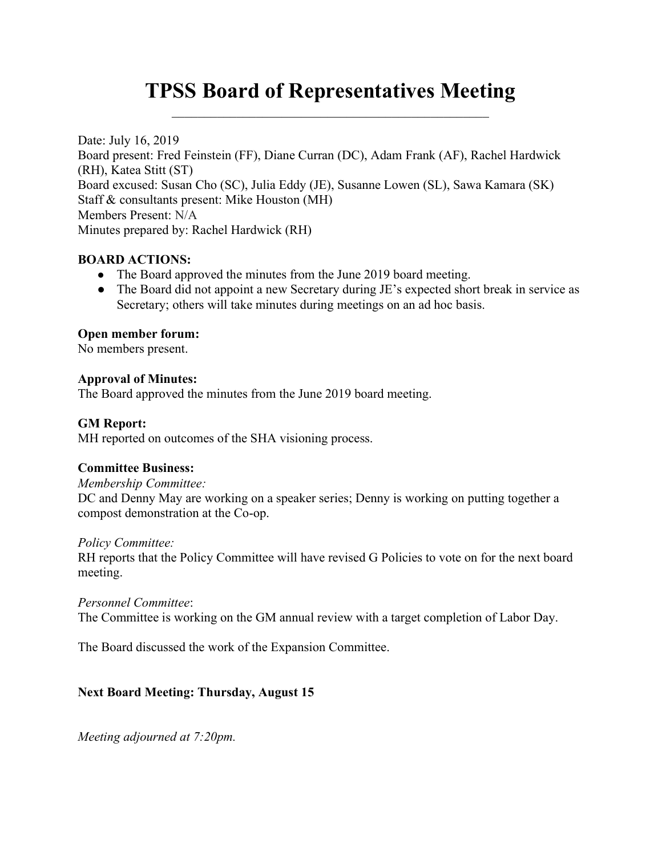# TPSS Board of Representatives Meeting

Date: July 16, 2019 Board present: Fred Feinstein (FF), Diane Curran (DC), Adam Frank (AF), Rachel Hardwick (RH), Katea Stitt (ST) Board excused: Susan Cho (SC), Julia Eddy (JE), Susanne Lowen (SL), Sawa Kamara (SK) Staff & consultants present: Mike Houston (MH) Members Present: N/A Minutes prepared by: Rachel Hardwick (RH)

# BOARD ACTIONS:

- The Board approved the minutes from the June 2019 board meeting.
- The Board did not appoint a new Secretary during JE's expected short break in service as Secretary; others will take minutes during meetings on an ad hoc basis.

## Open member forum:

No members present.

## Approval of Minutes:

The Board approved the minutes from the June 2019 board meeting.

## GM Report:

MH reported on outcomes of the SHA visioning process.

## Committee Business:

#### Membership Committee:

DC and Denny May are working on a speaker series; Denny is working on putting together a compost demonstration at the Co-op.

## Policy Committee:

RH reports that the Policy Committee will have revised G Policies to vote on for the next board meeting.

## Personnel Committee:

The Committee is working on the GM annual review with a target completion of Labor Day.

The Board discussed the work of the Expansion Committee.

# Next Board Meeting: Thursday, August 15

Meeting adjourned at 7:20pm.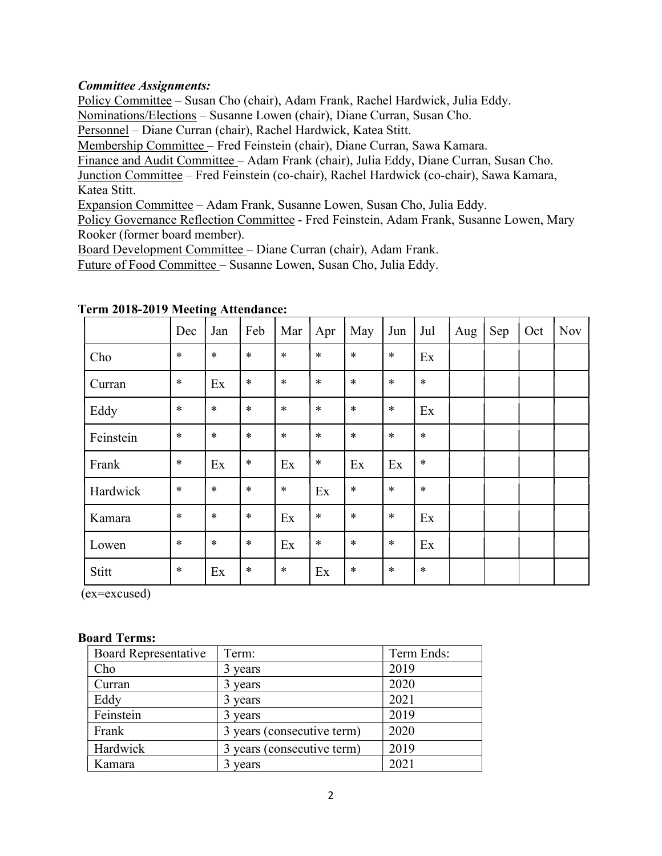## Committee Assignments:

Policy Committee – Susan Cho (chair), Adam Frank, Rachel Hardwick, Julia Eddy.

Nominations/Elections – Susanne Lowen (chair), Diane Curran, Susan Cho.

Personnel – Diane Curran (chair), Rachel Hardwick, Katea Stitt.

Membership Committee – Fred Feinstein (chair), Diane Curran, Sawa Kamara.

Finance and Audit Committee – Adam Frank (chair), Julia Eddy, Diane Curran, Susan Cho.

Junction Committee – Fred Feinstein (co-chair), Rachel Hardwick (co-chair), Sawa Kamara, Katea Stitt.

Expansion Committee – Adam Frank, Susanne Lowen, Susan Cho, Julia Eddy.

Policy Governance Reflection Committee - Fred Feinstein, Adam Frank, Susanne Lowen, Mary Rooker (former board member).

Board Development Committee – Diane Curran (chair), Adam Frank.

Future of Food Committee – Susanne Lowen, Susan Cho, Julia Eddy.

|           | Dec    | Jan    | Feb    | Mar    | Apr    | May    | Jun    | Jul    | Aug | Sep | Oct | <b>Nov</b> |
|-----------|--------|--------|--------|--------|--------|--------|--------|--------|-----|-----|-----|------------|
| Cho       | $\ast$ | $\ast$ | $\ast$ | $\ast$ | $\ast$ | $\ast$ | $\ast$ | Ex     |     |     |     |            |
| Curran    | $\ast$ | Ex     | $\ast$ | $\ast$ | $\ast$ | $\ast$ | $\ast$ | $\ast$ |     |     |     |            |
| Eddy      | $\ast$ | $\ast$ | $\ast$ | $\ast$ | $\ast$ | $\ast$ | $\ast$ | Ex     |     |     |     |            |
| Feinstein | $\ast$ | $\ast$ | $\ast$ | $\ast$ | $\ast$ | $\ast$ | $\ast$ | $\ast$ |     |     |     |            |
| Frank     | $\ast$ | Ex     | $\ast$ | Ex     | $\ast$ | Ex     | Ex     | $\ast$ |     |     |     |            |
| Hardwick  | $\ast$ | $\ast$ | $\ast$ | $\ast$ | Ex     | $\ast$ | $\ast$ | $\ast$ |     |     |     |            |
| Kamara    | $\ast$ | $\ast$ | $\ast$ | Ex     | $\ast$ | $\ast$ | $\ast$ | Ex     |     |     |     |            |
| Lowen     | $\ast$ | $\ast$ | $\ast$ | Ex     | $\ast$ | $\ast$ | $\ast$ | Ex     |     |     |     |            |
| Stitt     | $\ast$ | Ex     | $\ast$ | $\ast$ | Ex     | $\ast$ | $\ast$ | $\ast$ |     |     |     |            |

## Term 2018-2019 Meeting Attendance:

(ex=excused)

#### Board Terms:

| <b>Board Representative</b> | Term:                      | Term Ends: |  |  |
|-----------------------------|----------------------------|------------|--|--|
| Cho                         | 3 years                    | 2019       |  |  |
| Curran                      | 3 years                    | 2020       |  |  |
| Eddy                        | 3 years                    | 2021       |  |  |
| Feinstein                   | 3 years                    | 2019       |  |  |
| Frank                       | 3 years (consecutive term) | 2020       |  |  |
| Hardwick                    | 3 years (consecutive term) | 2019       |  |  |
| Kamara                      | years                      | 2021       |  |  |